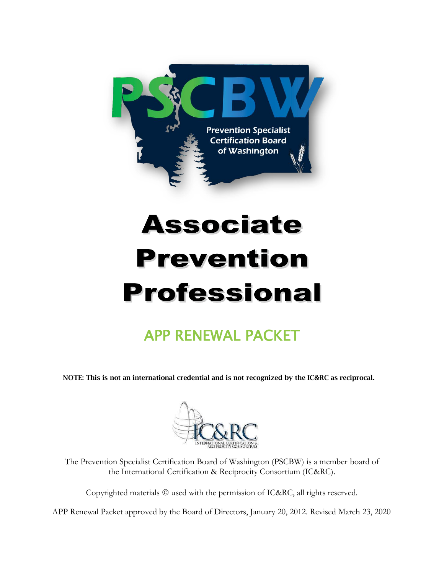

# **Associate Prevention Professional**

# APP RENEWAL PACKET

NOTE: This is not an international credential and is not recognized by the IC&RC as reciprocal.



The Prevention Specialist Certification Board of Washington (PSCBW) is a member board of the International Certification & Reciprocity Consortium (IC&RC).

Copyrighted materials © used with the permission of IC&RC, all rights reserved.

APP Renewal Packet approved by the Board of Directors, January 20, 2012. Revised March 23, 2020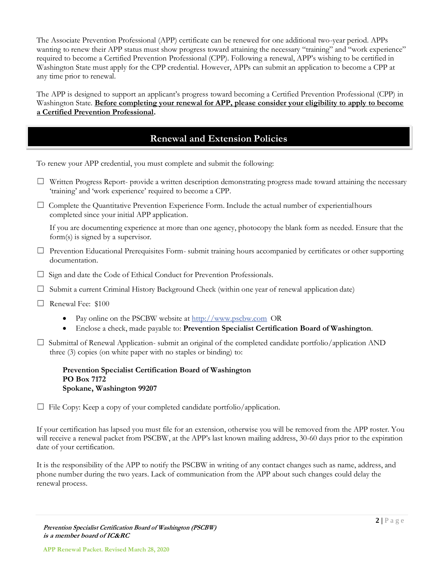The Associate Prevention Professional (APP) certificate can be renewed for one additional two-year period. APPs wanting to renew their APP status must show progress toward attaining the necessary "training" and "work experience" required to become a Certified Prevention Professional (CPP). Following a renewal, APP's wishing to be certified in Washington State must apply for the CPP credential. However, APPs can submit an application to become a CPP at any time prior to renewal.

The APP is designed to support an applicant's progress toward becoming a Certified Prevention Professional (CPP) in Washington State. **Before completing your renewal for APP, please consider your eligibility to apply to become a Certified Prevention Professional.**

#### **Renewal and Extension Policies**

To renew your APP credential, you must complete and submit the following:

- $\Box$  Written Progress Report- provide a written description demonstrating progress made toward attaining the necessary 'training' and 'work experience' required to become a CPP.
- $\Box$  Complete the Quantitative Prevention Experience Form. Include the actual number of experientialhours completed since your initial APP application.

If you are documenting experience at more than one agency, photocopy the blank form as needed. Ensure that the form(s) is signed by a supervisor.

- ☐ Prevention Educational Prerequisites Form- submit training hours accompanied by certificates or other supporting documentation.
- □ Sign and date the Code of Ethical Conduct for Prevention Professionals.
- $\Box$  Submit a current Criminal History Background Check (within one year of renewal application date)
- ☐ Renewal Fee: \$100
	- Pay online on the PSCBW website at [http://www.pscbw.com](http://www.pscbw.com/) OR
	- Enclose a check, made payable to: **Prevention Specialist Certification Board of Washington**.
- $\square$  Submittal of Renewal Application- submit an original of the completed candidate portfolio/application AND three (3) copies (on white paper with no staples or binding) to:

**Prevention Specialist Certification Board of Washington PO Box 7172 Spokane, Washington 99207**

 $\Box$  File Copy: Keep a copy of your completed candidate portfolio/application.

If your certification has lapsed you must file for an extension, otherwise you will be removed from the APP roster. You will receive a renewal packet from PSCBW, at the APP's last known mailing address, 30-60 days prior to the expiration date of your certification.

It is the responsibility of the APP to notify the PSCBW in writing of any contact changes such as name, address, and phone number during the two years. Lack of communication from the APP about such changes could delay the renewal process.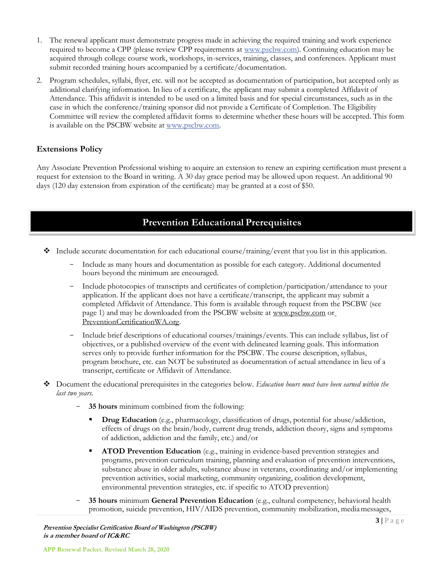- 1. The renewal applicant must demonstrate progress made in achieving the required training and work experience required to become a CPP (please review CPP requirements at [www.pscbw.com\)](http://www.pscbw.com./). Continuing education may be acquired through college course work, workshops, in-services, training, classes, and conferences. Applicant must submit recorded training hours accompanied by a certificate/documentation.
- 2. Program schedules, syllabi, flyer, etc. will not be accepted as documentation of participation, but accepted only as additional clarifying information. In lieu of a certificate, the applicant may submit a completed [Affidavit of](http://preventioncertificationwa.org/Documents/Affidavit%20of%20Attendance%20Revised%208-6-09.doc) [Attendance.](http://preventioncertificationwa.org/Documents/Affidavit%20of%20Attendance%20Revised%208-6-09.doc) This affidavit is intended to be used on a limited basis and for special circumstances, such as in the case in which the conference/training sponsor did not provide a Certificate of Completion. The Eligibility Committee will review the completed affidavit forms to determine whether these hours will be accepted. This form is available on the PSCBW website at [www.pscbw.com.](http://www.pscbw.com/)

#### **Extensions Policy**

Any Associate Prevention Professional wishing to acquire an extension to renew an expiring certification must present a request for extension to the Board in writing. A 30 day grace period may be allowed upon request. An additional 90 days (120 day extension from expiration of the certificate) may be granted at a cost of \$50.

#### **Prevention Educational Prerequisites**

- ❖ Include accurate documentation for each educational course/training/event that you list in this application.
	- Include as many hours and documentation as possible for each category. Additional documented hours beyond the minimum are encouraged.
	- Include photocopies of transcripts and certificates of completion/participation/attendance to your application. If the applicant does not have a certificate/transcript, the applicant may submit a completed Affidavit of Attendance. This form is available through request from the PSCBW (see page 1) and may be downloaded from the PSCBW website at [www.pscbw.com](http://www.pscbw.com/) o[r](http://www.ppcbw.org/) [PreventionCertificationWA.org.](http://www.ppcbw.org/)
	- Include brief descriptions of educational courses/trainings/events. This can include syllabus, list of objectives, or a published overview of the event with delineated learning goals. This information serves only to provide further information for the PSCBW. The course description, syllabus, program brochure, etc. can NOT be substituted as documentation of actual attendance in lieu of a transcript, certificate or Affidavit of Attendance.
- ❖ Document the educational prerequisites in the categories below. *Education hours must have been earned within the last two years.*
	- **35 hours** minimum combined from the following:
		- **Drug Education** (e.g., pharmacology, classification of drugs, potential for abuse/addiction, effects of drugs on the brain/body, current drug trends, addiction theory, signs and symptoms of addiction, addiction and the family, etc.) and/or
		- **ATOD Prevention Education** (e.g., training in evidence-based prevention strategies and programs, prevention curriculum training, planning and evaluation of prevention interventions, substance abuse in older adults, substance abuse in veterans, coordinating and/or implementing prevention activities, social marketing, community organizing, coalition development, environmental prevention strategies, etc. if specific to ATOD prevention)
	- **35 hours** minimum **General Prevention Education** (e.g., cultural competency, behavioral health promotion, suicide prevention, HIV/AIDS prevention, community mobilization, mediamessages,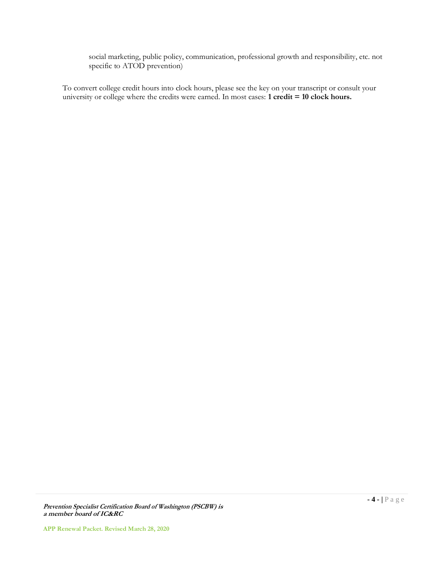social marketing, public policy, communication, professional growth and responsibility, etc. not specific to ATOD prevention)

To convert college credit hours into clock hours, please see the key on your transcript or consult your university or college where the credits were earned. In most cases: **1 credit = 10 clock hours.**

**Prevention Specialist Certification Board of Washington (PSCBW) is a member board of IC&RC**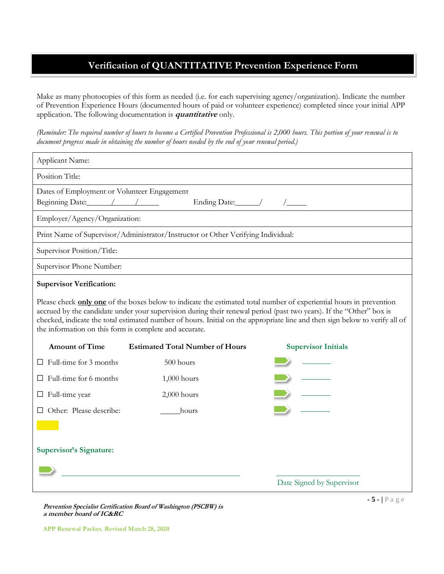### **Verification of QUANTITATIVE Prevention Experience Form**

Make as many photocopies of this form as needed (i.e. for each supervising agency/organization). Indicate the number of Prevention Experience Hours (documented hours of paid or volunteer experience) completed since your initial APP application. The following documentation is **quantitative** only.

*(Reminder: The required number of hours to become a Certified Prevention Professional is 2,000 hours. This portion of your renewal is to document progress made in obtaining the number of hours needed by the end of your renewal period.)*

| Applicant Name:                                                                                                                                                                                                                                                                                                                                                                                                                            |                                        |                            |  |  |  |  |  |
|--------------------------------------------------------------------------------------------------------------------------------------------------------------------------------------------------------------------------------------------------------------------------------------------------------------------------------------------------------------------------------------------------------------------------------------------|----------------------------------------|----------------------------|--|--|--|--|--|
| Position Title:                                                                                                                                                                                                                                                                                                                                                                                                                            |                                        |                            |  |  |  |  |  |
| Dates of Employment or Volunteer Engagement<br>Beginning Date: /////                                                                                                                                                                                                                                                                                                                                                                       |                                        |                            |  |  |  |  |  |
| Employer/Agency/Organization:                                                                                                                                                                                                                                                                                                                                                                                                              |                                        |                            |  |  |  |  |  |
| Print Name of Supervisor/Administrator/Instructor or Other Verifying Individual:                                                                                                                                                                                                                                                                                                                                                           |                                        |                            |  |  |  |  |  |
| Supervisor Position/Title:                                                                                                                                                                                                                                                                                                                                                                                                                 |                                        |                            |  |  |  |  |  |
| Supervisor Phone Number:                                                                                                                                                                                                                                                                                                                                                                                                                   |                                        |                            |  |  |  |  |  |
| <b>Supervisor Verification:</b>                                                                                                                                                                                                                                                                                                                                                                                                            |                                        |                            |  |  |  |  |  |
| Please check <b>only one</b> of the boxes below to indicate the estimated total number of experiential hours in prevention<br>accrued by the candidate under your supervision during their renewal period (past two years). If the "Other" box is<br>checked, indicate the total estimated number of hours. Initial on the appropriate line and then sign below to verify all of<br>the information on this form is complete and accurate. |                                        |                            |  |  |  |  |  |
| <b>Amount of Time</b>                                                                                                                                                                                                                                                                                                                                                                                                                      | <b>Estimated Total Number of Hours</b> | <b>Supervisor Initials</b> |  |  |  |  |  |
| Full-time for 3 months                                                                                                                                                                                                                                                                                                                                                                                                                     | 500 hours                              |                            |  |  |  |  |  |
| Full-time for 6 months                                                                                                                                                                                                                                                                                                                                                                                                                     | $1,000$ hours                          |                            |  |  |  |  |  |
| $\Box$ Full-time year                                                                                                                                                                                                                                                                                                                                                                                                                      | $2,000$ hours                          |                            |  |  |  |  |  |
| Other: Please describe:                                                                                                                                                                                                                                                                                                                                                                                                                    | hours                                  |                            |  |  |  |  |  |
|                                                                                                                                                                                                                                                                                                                                                                                                                                            |                                        |                            |  |  |  |  |  |
| <b>Supervisor's Signature:</b>                                                                                                                                                                                                                                                                                                                                                                                                             |                                        |                            |  |  |  |  |  |
|                                                                                                                                                                                                                                                                                                                                                                                                                                            |                                        |                            |  |  |  |  |  |
|                                                                                                                                                                                                                                                                                                                                                                                                                                            |                                        | Date Signed by Supervisor  |  |  |  |  |  |

**Prevention Specialist Certification Board of Washington (PSCBW) is a member board of IC&RC**

**- 5 - |** P a g e

**APP Renewal Packet. Revised March 28, 2020**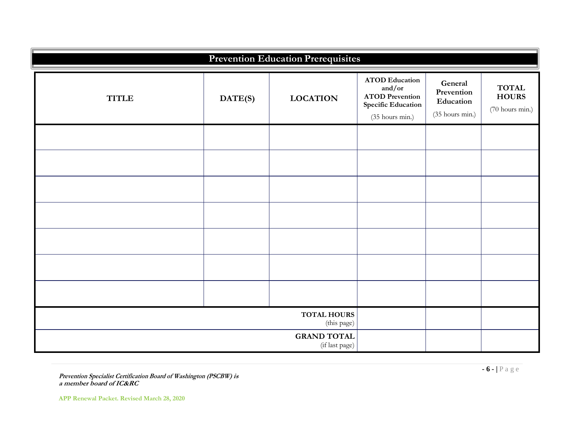| <b>Prevention Education Prerequisites</b> |                    |                                   |                                                                                                    |                                                       |                                                 |  |  |  |
|-------------------------------------------|--------------------|-----------------------------------|----------------------------------------------------------------------------------------------------|-------------------------------------------------------|-------------------------------------------------|--|--|--|
| <b>TITLE</b>                              | DATE(S)            | <b>LOCATION</b>                   | <b>ATOD</b> Education<br>and/or<br><b>ATOD Prevention</b><br>Specific Education<br>(35 hours min.) | General<br>Prevention<br>Education<br>(35 hours min.) | <b>TOTAL</b><br><b>HOURS</b><br>(70 hours min.) |  |  |  |
|                                           |                    |                                   |                                                                                                    |                                                       |                                                 |  |  |  |
|                                           |                    |                                   |                                                                                                    |                                                       |                                                 |  |  |  |
|                                           |                    |                                   |                                                                                                    |                                                       |                                                 |  |  |  |
|                                           |                    |                                   |                                                                                                    |                                                       |                                                 |  |  |  |
|                                           |                    |                                   |                                                                                                    |                                                       |                                                 |  |  |  |
|                                           |                    |                                   |                                                                                                    |                                                       |                                                 |  |  |  |
|                                           |                    |                                   |                                                                                                    |                                                       |                                                 |  |  |  |
|                                           |                    | <b>TOTAL HOURS</b><br>(this page) |                                                                                                    |                                                       |                                                 |  |  |  |
|                                           | <b>GRAND TOTAL</b> |                                   |                                                                                                    |                                                       |                                                 |  |  |  |

**Prevention Specialist Certification Board of Washington (PSCBW) is a member board of IC&RC**

**APP Renewal Packet. Revised March 28, 2020**

**- 6 - |** P a g e